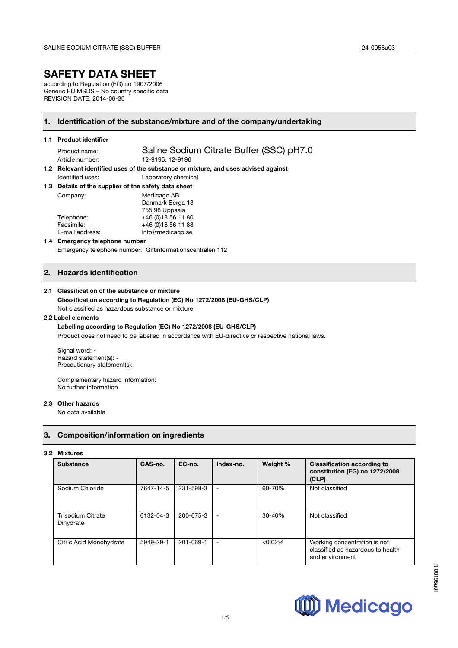# **SAFETY DATA SHEET**

according to Regulation (EG) no 1907/2006 Generic EU MSDS – No country specific data REVISION DATE: 2014-06-30

# **1. Identification of the substance/mixture and of the company/undertaking**

## **1.1 Product identifier**

Product name: Saline Sodium Citrate Buffer (SSC) pH7.0 Article number: 12-9195, 12-9196

**1.2 Relevant identified uses of the substance or mixture, and uses advised against**  Identified uses: Laboratory chemical

**1.3 Details of the supplier of the safety data sheet**

| Details of the supplier of the safety data sheet |                     |
|--------------------------------------------------|---------------------|
| Company:                                         | Medicago AB         |
|                                                  | Danmark Berga 13    |
|                                                  | 755 98 Uppsala      |
| Telephone:                                       | +46 (0) 18 56 11 80 |
| Facsimile:                                       | +46 (0) 18 56 11 88 |
| E-mail address:                                  | info@medicago.se    |
|                                                  |                     |

## **1.4 Emergency telephone number**  Emergency telephone number: Giftinformationscentralen 112

# **2. Hazards identification**

## **2.1 Classification of the substance or mixture**

## **Classification according to Regulation (EC) No 1272/2008 (EU-GHS/CLP)** Not classified as hazardous substance or mixture

# **2.2 Label elements**

## **Labelling according to Regulation (EC) No 1272/2008 (EU-GHS/CLP)**

Product does not need to be labelled in accordance with EU-directive or respective national laws.

Signal word: - Hazard statement(s): - Precautionary statement(s):

Complementary hazard information: No further information

#### **2.3 Other hazards**

No data available

# **3. Composition/information on ingredients**

#### **3.2 Mixtures**

| <b>Substance</b>                      | CAS-no.   | EC-no.    | Index-no.      | Weight %   | <b>Classification according to</b><br>constitution (EG) no 1272/2008<br>(CLP)        |
|---------------------------------------|-----------|-----------|----------------|------------|--------------------------------------------------------------------------------------|
| Sodium Chloride                       | 7647-14-5 | 231-598-3 | $\blacksquare$ | 60-70%     | Not classified                                                                       |
| <b>Trisodium Citrate</b><br>Dihydrate | 6132-04-3 | 200-675-3 | $\blacksquare$ | 30-40%     | Not classified                                                                       |
| Citric Acid Monohydrate               | 5949-29-1 | 201-069-1 | ٠              | $< 0.02\%$ | Working concentration is not<br>classified as hazardous to health<br>and environment |

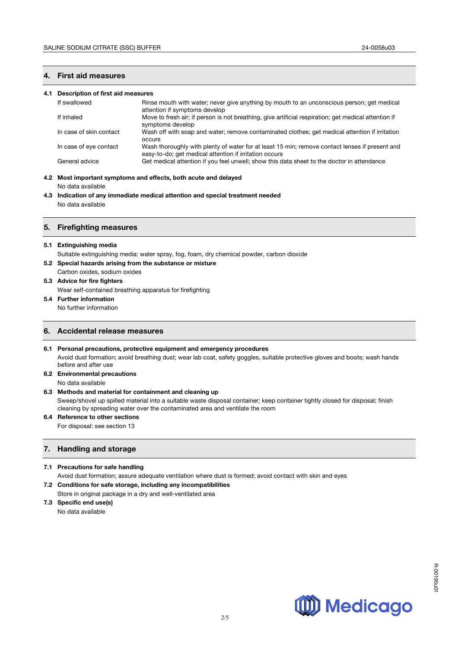# **4. First aid measures**

#### **4.1 Description of first aid measures**

| If swallowed            | Rinse mouth with water; never give anything by mouth to an unconscious person; get medical<br>attention if symptoms develop                              |
|-------------------------|----------------------------------------------------------------------------------------------------------------------------------------------------------|
| If inhaled              | Move to fresh air; if person is not breathing, give artificial respiration; get medical attention if<br>symptoms develop                                 |
| In case of skin contact | Wash off with soap and water; remove contaminated clothes; get medical attention if irritation<br>occurs                                                 |
| In case of eye contact  | Wash thoroughly with plenty of water for at least 15 min; remove contact lenses if present and<br>easy-to-do; get medical attention if irritation occurs |
| General advice          | Get medical attention if you feel unwell; show this data sheet to the doctor in attendance                                                               |

# **4.2 Most important symptoms and effects, both acute and delayed**

No data available

**4.3 Indication of any immediate medical attention and special treatment needed** No data available

## **5. Firefighting measures**

#### **5.1 Extinguishing media**

Suitable extinguishing media: water spray, fog, foam, dry chemical powder, carbon dioxide

## **5.2 Special hazards arising from the substance or mixture**

Carbon oxides, sodium oxides

# **5.3 Advice for fire fighters**

Wear self-contained breathing apparatus for firefighting

# **5.4 Further information**

No further information

## **6. Accidental release measures**

- **6.1 Personal precautions, protective equipment and emergency procedures** Avoid dust formation; avoid breathing dust; wear lab coat, safety goggles, suitable protective gloves and boots; wash hands before and after use
- **6.2 Environmental precautions**  No data available

# **6.3 Methods and material for containment and cleaning up**

Sweep/shovel up spilled material into a suitable waste disposal container; keep container tightly closed for disposal; finish cleaning by spreading water over the contaminated area and ventilate the room

## **6.4 Reference to other sections**  For disposal: see section 13

# **7. Handling and storage**

## **7.1 Precautions for safe handling**

Avoid dust formation; assure adequate ventilation where dust is formed; avoid contact with skin and eyes

**7.2 Conditions for safe storage, including any incompatibilities**  Store in original package in a dry and well-ventilated area

#### **7.3 Specific end use(s)**

No data available

R-00195u01

R-00195u0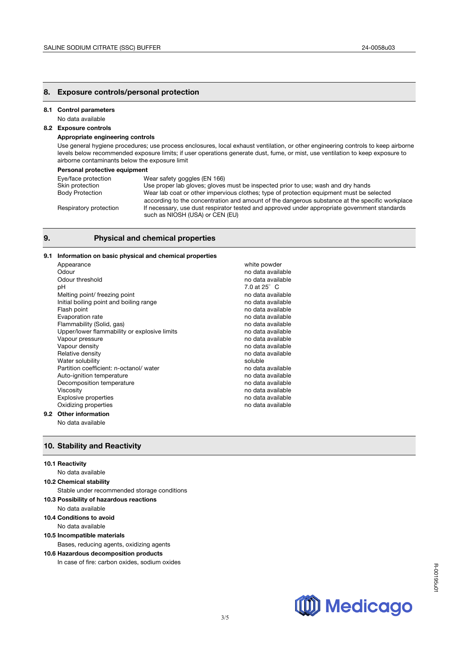## **8. Exposure controls/personal protection**

## **8.1 Control parameters**

No data available

# **8.2 Exposure controls**

## **Appropriate engineering controls**

Use general hygiene procedures; use process enclosures, local exhaust ventilation, or other engineering controls to keep airborne levels below recommended exposure limits; if user operations generate dust, fume, or mist, use ventilation to keep exposure to airborne contaminants below the exposure limit

#### **Personal protective equipment**

| Eye/face protection    | Wear safety goggles (EN 166)                                                                                                                                                               |
|------------------------|--------------------------------------------------------------------------------------------------------------------------------------------------------------------------------------------|
| Skin protection        | Use proper lab gloves; gloves must be inspected prior to use; wash and dry hands                                                                                                           |
| <b>Body Protection</b> | Wear lab coat or other impervious clothes; type of protection equipment must be selected<br>according to the concentration and amount of the dangerous substance at the specific workplace |
| Respiratory protection | If necessary, use dust respirator tested and approved under appropriate government standards<br>such as NIOSH (USA) or CEN (EU)                                                            |

# **9. Physical and chemical properties**

## **9.1 Information on basic physical and chemical properties**

| Appearance                                   | white powder        |
|----------------------------------------------|---------------------|
| Odour                                        | no data available   |
| Odour threshold                              | no data available   |
| pН                                           | 7.0 at $25^\circ$ C |
| Melting point/ freezing point                | no data available   |
| Initial boiling point and boiling range      | no data available   |
| Flash point                                  | no data available   |
| Evaporation rate                             | no data available   |
| Flammability (Solid, gas)                    | no data available   |
| Upper/lower flammability or explosive limits | no data available   |
| Vapour pressure                              | no data available   |
| Vapour density                               | no data available   |
| Relative density                             | no data available   |
| Water solubility                             | soluble             |
| Partition coefficient: n-octanol/water       | no data available   |
| Auto-ignition temperature                    | no data available   |
| Decomposition temperature                    | no data available   |
| Viscosity                                    | no data available   |
| <b>Explosive properties</b>                  | no data available   |
| Oxidizing properties                         | no data available   |
| 2 Other information                          |                     |

#### **9.2 Other information**

No data available

# **10. Stability and Reactivity**

#### **10.1 Reactivity**

No data available **10.2 Chemical stability**  Stable under recommended storage conditions **10.3 Possibility of hazardous reactions**  No data available **10.4 Conditions to avoid**  No data available **10.5 Incompatible materials** 

Bases, reducing agents, oxidizing agents

#### **10.6 Hazardous decomposition products**

In case of fire: carbon oxides, sodium oxides

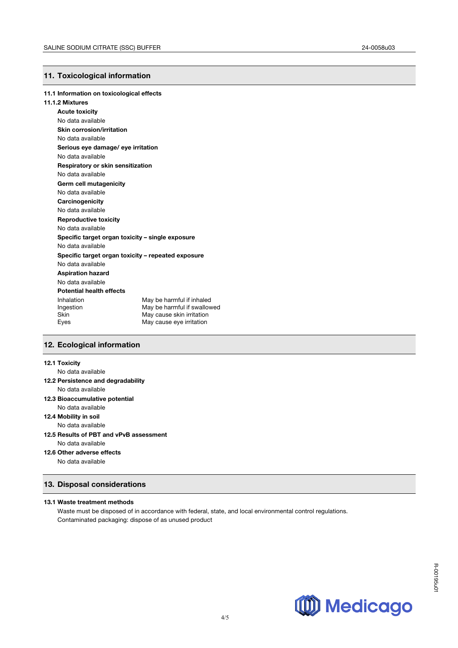# **11. Toxicological information**

#### **11.1 Information on toxicological effects**

#### **11.1.2 Mixtures**

**Acute toxicity** No data available **Skin corrosion/irritation** No data available **Serious eye damage/ eye irritation** No data available **Respiratory or skin sensitization** No data available **Germ cell mutagenicity** No data available **Carcinogenicity** No data available **Reproductive toxicity** No data available **Specific target organ toxicity – single exposure** No data available **Specific target organ toxicity – repeated exposure** No data available **Aspiration hazard** No data available **Potential health effects**  Inhalation May be harmful if inhaled<br>Ingestion May be harmful if swallow May be harmful if swallowed Skin May cause skin irritation Eyes May cause eye irritation

## **12. Ecological information**

## **12.1 Toxicity**

No data available

- **12.2 Persistence and degradability** No data available
	-
- **12.3 Bioaccumulative potential** No data available
- **12.4 Mobility in soil**
- No data available
- **12.5 Results of PBT and vPvB assessment**
- No data available
- **12.6 Other adverse effects**

No data available

## **13. Disposal considerations**

## **13.1 Waste treatment methods**

Waste must be disposed of in accordance with federal, state, and local environmental control regulations. Contaminated packaging: dispose of as unused product